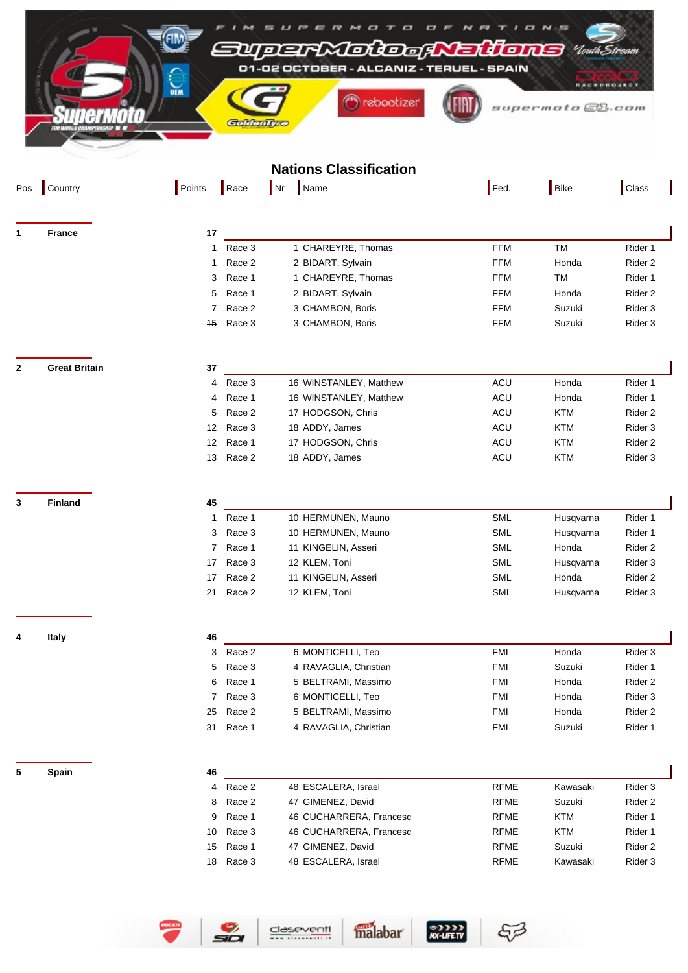|                          |                      |                 | 7‼ا    | c<br>DEFMOLOGR<br>01-02 OCTOBER - ALCANIZ - TERUEL - SPAIN | Eidons      | <b>D N</b> 5                                 |                    |  |
|--------------------------|----------------------|-----------------|--------|------------------------------------------------------------|-------------|----------------------------------------------|--------------------|--|
| <b>UEM</b><br>GaldenTyre |                      |                 |        | rebootizer                                                 |             | <b><i>RAGERROJEST</i></b><br>supermoto@B.com |                    |  |
|                          |                      |                 |        | <b>Nations Classification</b>                              |             |                                              |                    |  |
| Pos                      | Country              | Points          | Race   | Nr<br>Name                                                 | Fed.        | <b>Bike</b>                                  | Class              |  |
|                          |                      |                 |        |                                                            |             |                                              |                    |  |
| $\mathbf 1$              | <b>France</b>        | 17              |        |                                                            |             |                                              |                    |  |
|                          |                      | 1               | Race 3 | 1 CHAREYRE, Thomas                                         | <b>FFM</b>  | <b>TM</b>                                    | Rider 1            |  |
|                          |                      | 1               | Race 2 | 2 BIDART, Sylvain                                          | <b>FFM</b>  | Honda                                        | Rider <sub>2</sub> |  |
|                          |                      | 3               | Race 1 | 1 CHAREYRE, Thomas                                         | <b>FFM</b>  | <b>TM</b>                                    | Rider 1            |  |
|                          |                      | 5               | Race 1 | 2 BIDART, Sylvain                                          | <b>FFM</b>  | Honda                                        | Rider 2            |  |
|                          |                      | 7               | Race 2 | 3 CHAMBON, Boris                                           | <b>FFM</b>  | Suzuki                                       | Rider 3            |  |
|                          |                      | 15              | Race 3 | 3 CHAMBON, Boris                                           | <b>FFM</b>  | Suzuki                                       | Rider 3            |  |
| $\mathbf{2}$             | <b>Great Britain</b> | 37              |        |                                                            |             |                                              |                    |  |
|                          |                      | 4               | Race 3 | 16 WINSTANLEY, Matthew                                     | ACU         | Honda                                        | Rider 1            |  |
|                          |                      | 4               | Race 1 | 16 WINSTANLEY, Matthew                                     | ACU         | Honda                                        | Rider 1            |  |
|                          |                      | 5               | Race 2 | 17 HODGSON, Chris                                          | ACU         | <b>KTM</b>                                   | Rider 2            |  |
|                          |                      | 12              | Race 3 | 18 ADDY, James                                             | ACU         | <b>KTM</b>                                   | Rider <sub>3</sub> |  |
|                          |                      | 12              | Race 1 | 17 HODGSON, Chris                                          | ACU         | <b>KTM</b>                                   | Rider 2            |  |
|                          |                      | 13              | Race 2 | 18 ADDY, James                                             | ACU         | <b>KTM</b>                                   | Rider 3            |  |
| 3                        | <b>Finland</b>       | 45              |        |                                                            |             |                                              |                    |  |
|                          |                      | 1               | Race 1 | 10 HERMUNEN, Mauno                                         | <b>SML</b>  | Husqvarna                                    | Rider 1            |  |
|                          |                      | 3               | Race 3 | 10 HERMUNEN, Mauno                                         | <b>SML</b>  | Husqvarna                                    | Rider 1            |  |
|                          |                      | 7               | Race 1 | 11 KINGELIN, Asseri                                        | SML         | Honda                                        | Rider <sub>2</sub> |  |
|                          |                      | 17 <sub>1</sub> | Race 3 | 12 KLEM, Toni                                              | SML         | Husqvarna                                    | Rider 3            |  |
|                          |                      | 17              | Race 2 | 11 KINGELIN, Asseri                                        | SML         | Honda                                        | Rider 2            |  |
|                          |                      | 21              | Race 2 | 12 KLEM, Toni                                              | SML         | Husqvarna                                    | Rider 3            |  |
| 4                        | Italy                | 46              |        |                                                            |             |                                              |                    |  |
|                          |                      | 3               | Race 2 | 6 MONTICELLI, Teo                                          | <b>FMI</b>  | Honda                                        | Rider 3            |  |
|                          |                      | 5               | Race 3 | 4 RAVAGLIA, Christian                                      | <b>FMI</b>  | Suzuki                                       | Rider 1            |  |
|                          |                      | 6               | Race 1 | 5 BELTRAMI, Massimo                                        | <b>FMI</b>  | Honda                                        | Rider 2            |  |
|                          |                      | 7               | Race 3 | 6 MONTICELLI, Teo                                          | <b>FMI</b>  | Honda                                        | Rider 3            |  |
|                          |                      | 25              | Race 2 | 5 BELTRAMI, Massimo                                        | <b>FMI</b>  | Honda                                        | Rider <sub>2</sub> |  |
|                          |                      | 31              | Race 1 | 4 RAVAGLIA, Christian                                      | <b>FMI</b>  | Suzuki                                       | Rider 1            |  |
| 5                        | Spain                | 46              |        |                                                            |             |                                              |                    |  |
|                          |                      | 4               | Race 2 | 48 ESCALERA, Israel                                        | <b>RFME</b> | Kawasaki                                     | Rider 3            |  |

|    | Race 2 | 48 ESCALERA, Israel     | <b>RFME</b> | Kawasaki | Rider 3 |
|----|--------|-------------------------|-------------|----------|---------|
| 8  | Race 2 | 47 GIMENEZ, David       | <b>RFME</b> | Suzuki   | Rider 2 |
| 9  | Race 1 | 46 CUCHARRERA, Francesc | <b>RFME</b> | KTM      | Rider 1 |
| 10 | Race 3 | 46 CUCHARRERA, Francesc | <b>RFMF</b> | KTM      | Rider 1 |
| 15 | Race 1 | 47 GIMENEZ, David       | <b>RFMF</b> | Suzuki   | Rider 2 |
| 48 | Race 3 | 48 ESCALERA, Israel     | <b>RFMF</b> | Kawasaki | Rider 3 |

SIJI<br>NX-LIFE.TV

malabar

 $57$ 



 $\frac{9}{20}$ 

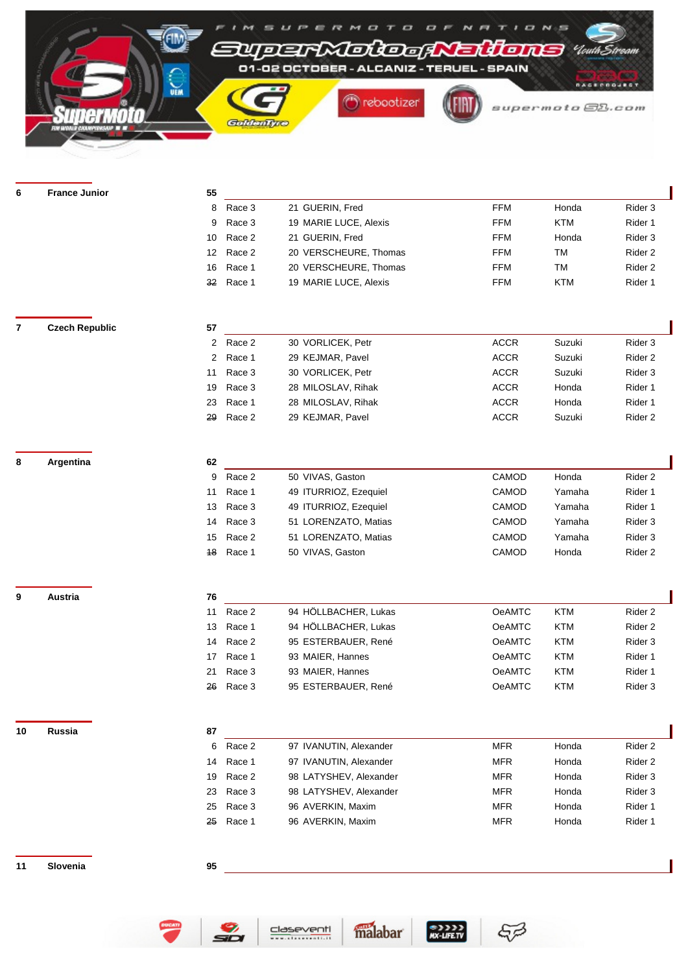

| 6              | <b>France Junior</b>  | 55             |        |                        |                 |            |                    |
|----------------|-----------------------|----------------|--------|------------------------|-----------------|------------|--------------------|
|                |                       | 8              | Race 3 | 21 GUERIN, Fred        | <b>FFM</b>      | Honda      | Rider 3            |
|                |                       | 9              | Race 3 | 19 MARIE LUCE, Alexis  | <b>FFM</b>      | <b>KTM</b> | Rider 1            |
|                |                       | 10             | Race 2 | 21 GUERIN, Fred        | <b>FFM</b>      | Honda      | Rider 3            |
|                |                       | 12             | Race 2 | 20 VERSCHEURE, Thomas  | <b>FFM</b>      | TM         | Rider <sub>2</sub> |
|                |                       | 16             | Race 1 | 20 VERSCHEURE, Thomas  | <b>FFM</b>      | <b>TM</b>  | Rider 2            |
|                |                       | 32             | Race 1 | 19 MARIE LUCE, Alexis  | <b>FFM</b>      | <b>KTM</b> | Rider 1            |
|                |                       |                |        |                        |                 |            |                    |
|                |                       |                |        |                        |                 |            |                    |
| $\overline{7}$ | <b>Czech Republic</b> | 57             |        |                        |                 |            |                    |
|                |                       | $\overline{c}$ | Race 2 | 30 VORLICEK, Petr      | <b>ACCR</b>     | Suzuki     | Rider 3            |
|                |                       | $\overline{2}$ | Race 1 | 29 KEJMAR, Pavel       | <b>ACCR</b>     | Suzuki     | Rider <sub>2</sub> |
|                |                       | 11             | Race 3 | 30 VORLICEK, Petr      | $\mathsf{ACCR}$ | Suzuki     | Rider 3            |
|                |                       | 19             | Race 3 | 28 MILOSLAV, Rihak     | ACCR            | Honda      | Rider 1            |
|                |                       | 23             | Race 1 | 28 MILOSLAV, Rihak     | ACCR            | Honda      | Rider 1            |
|                |                       | 29             | Race 2 | 29 KEJMAR, Pavel       | <b>ACCR</b>     | Suzuki     | Rider <sub>2</sub> |
|                |                       |                |        |                        |                 |            |                    |
| 8              | Argentina             | 62             |        |                        |                 |            |                    |
|                |                       | 9              | Race 2 | 50 VIVAS, Gaston       | CAMOD           | Honda      | Rider 2            |
|                |                       | 11             | Race 1 | 49 ITURRIOZ, Ezequiel  | CAMOD           | Yamaha     | Rider 1            |
|                |                       | 13             | Race 3 | 49 ITURRIOZ, Ezequiel  | CAMOD           | Yamaha     | Rider 1            |
|                |                       | 14             | Race 3 | 51 LORENZATO, Matias   | CAMOD           | Yamaha     | Rider 3            |
|                |                       | 15             | Race 2 | 51 LORENZATO, Matias   | CAMOD           | Yamaha     | Rider 3            |
|                |                       | 18             | Race 1 | 50 VIVAS, Gaston       | CAMOD           | Honda      | Rider <sub>2</sub> |
|                |                       |                |        |                        |                 |            |                    |
|                |                       |                |        |                        |                 |            |                    |
| 9              | Austria               | 76             |        |                        |                 |            |                    |
|                |                       | 11             | Race 2 | 94 HÖLLBACHER, Lukas   | <b>OeAMTC</b>   | <b>KTM</b> | Rider 2            |
|                |                       | 13             | Race 1 | 94 HÖLLBACHER, Lukas   | <b>OeAMTC</b>   | <b>KTM</b> | Rider <sub>2</sub> |
|                |                       | 14             | Race 2 | 95 ESTERBAUER, René    | <b>OeAMTC</b>   | <b>KTM</b> | Rider 3            |
|                |                       | 17             | Race 1 | 93 MAIER, Hannes       | <b>OeAMTC</b>   | <b>KTM</b> | Rider 1            |
|                |                       | 21             | Race 3 | 93 MAIER, Hannes       | <b>OeAMTC</b>   | <b>KTM</b> | Rider 1            |
|                |                       | 26             | Race 3 | 95 ESTERBAUER, René    | <b>OeAMTC</b>   | <b>KTM</b> | Rider 3            |
|                |                       |                |        |                        |                 |            |                    |
| 10             | Russia                | 87             |        |                        |                 |            |                    |
|                |                       | 6              | Race 2 | 97 IVANUTIN, Alexander | <b>MFR</b>      | Honda      | Rider <sub>2</sub> |
|                |                       | 14             | Race 1 | 97 IVANUTIN, Alexander | <b>MFR</b>      | Honda      | Rider <sub>2</sub> |
|                |                       | 19             | Race 2 | 98 LATYSHEV, Alexander | <b>MFR</b>      | Honda      | Rider 3            |
|                |                       | 23             | Race 3 | 98 LATYSHEV, Alexander | <b>MFR</b>      | Honda      | Rider 3            |
|                |                       | 25             | Race 3 | 96 AVERKIN, Maxim      | <b>MFR</b>      | Honda      | Rider 1            |
|                |                       | 25             | Race 1 | 96 AVERKIN, Maxim      | <b>MFR</b>      | Honda      | Rider 1            |
|                |                       |                |        |                        |                 |            |                    |
| 11             | Slovenia              | 95             |        |                        |                 |            |                    |
|                |                       |                |        |                        |                 |            |                    |





 $MX-LIFE.TV$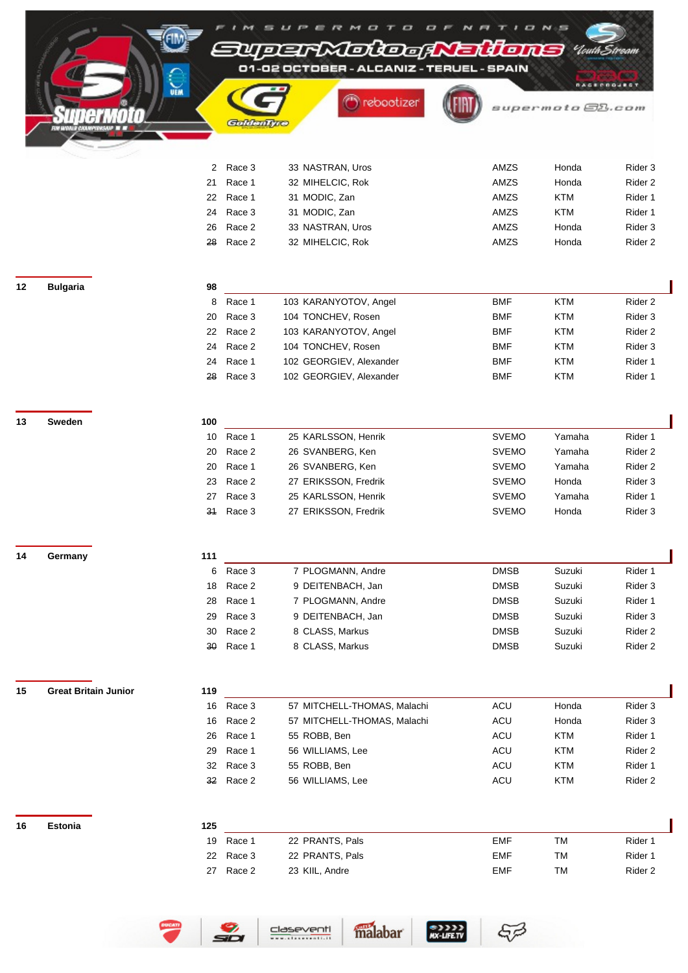|    |                             | <b>UEM</b>   |                  | $\overline{a}$<br>M<br>$\bm{\tau}$<br>=UDERXDIDaA<br>01-02 OCTOBER - ALCANIZ - TERUEL - SPAIN<br>rebootizer | eidons<br><b><i>RAGERROJECT</i></b><br>supermoto@B.com |                              |                     |                               |
|----|-----------------------------|--------------|------------------|-------------------------------------------------------------------------------------------------------------|--------------------------------------------------------|------------------------------|---------------------|-------------------------------|
|    |                             |              | Goldenly         |                                                                                                             |                                                        |                              |                     |                               |
|    |                             |              |                  |                                                                                                             |                                                        |                              |                     |                               |
|    |                             |              |                  |                                                                                                             |                                                        |                              |                     |                               |
|    |                             | $\mathbf{2}$ | Race 3           | 33 NASTRAN, Uros                                                                                            | AMZS                                                   |                              | Honda               | Rider 3                       |
|    |                             | 21           | Race 1           | 32 MIHELCIC, Rok                                                                                            | AMZS<br>AMZS                                           |                              | Honda<br><b>KTM</b> | Rider <sub>2</sub>            |
|    |                             | 22<br>24     | Race 1<br>Race 3 | 31 MODIC, Zan<br>31 MODIC, Zan                                                                              | AMZS                                                   |                              | <b>KTM</b>          | Rider 1<br>Rider 1            |
|    |                             | 26           | Race 2           | 33 NASTRAN, Uros                                                                                            | AMZS                                                   |                              | Honda               | Rider 3                       |
|    |                             | 28           | Race 2           | 32 MIHELCIC, Rok                                                                                            | AMZS                                                   |                              | Honda               | Rider <sub>2</sub>            |
|    |                             |              |                  |                                                                                                             |                                                        |                              |                     |                               |
| 12 | <b>Bulgaria</b>             | 98<br>8      | Race 1           | 103 KARANYOTOV, Angel                                                                                       | <b>BMF</b>                                             |                              | <b>KTM</b>          | Rider 2                       |
|    |                             | 20           | Race 3           | 104 TONCHEV, Rosen                                                                                          | <b>BMF</b>                                             |                              | <b>KTM</b>          | Rider 3                       |
|    |                             | 22           | Race 2           | 103 KARANYOTOV, Angel                                                                                       | <b>BMF</b>                                             |                              | <b>KTM</b>          | Rider <sub>2</sub>            |
|    |                             | 24           | Race 2           | 104 TONCHEV, Rosen                                                                                          | <b>BMF</b>                                             |                              | <b>KTM</b>          | Rider 3                       |
|    |                             | 24           | Race 1           | 102 GEORGIEV, Alexander                                                                                     | <b>BMF</b>                                             |                              | <b>KTM</b>          | Rider 1                       |
|    |                             | 28           | Race 3           | 102 GEORGIEV, Alexander                                                                                     | <b>BMF</b>                                             |                              | <b>KTM</b>          | Rider 1                       |
|    |                             |              |                  |                                                                                                             |                                                        |                              |                     |                               |
| 13 | Sweden                      | 100          |                  |                                                                                                             |                                                        |                              |                     |                               |
|    |                             | 10           | Race 1           | 25 KARLSSON, Henrik                                                                                         |                                                        | <b>SVEMO</b>                 | Yamaha              | Rider 1                       |
|    |                             | 20           | Race 2           | 26 SVANBERG, Ken                                                                                            |                                                        | <b>SVEMO</b>                 | Yamaha              | Rider <sub>2</sub>            |
|    |                             | 20<br>23     | Race 1<br>Race 2 | 26 SVANBERG, Ken<br>27 ERIKSSON, Fredrik                                                                    |                                                        | <b>SVEMO</b><br><b>SVEMO</b> | Yamaha<br>Honda     | Rider <sub>2</sub><br>Rider 3 |
|    |                             | 27           | Race 3           | 25 KARLSSON, Henrik                                                                                         |                                                        | <b>SVEMO</b>                 | Yamaha              | Rider 1                       |
|    |                             | 31           | Race 3           | 27 ERIKSSON, Fredrik                                                                                        |                                                        | <b>SVEMO</b>                 | Honda               | Rider 3                       |
|    |                             |              |                  |                                                                                                             |                                                        |                              |                     |                               |
| 14 | Germany                     | 111          |                  |                                                                                                             |                                                        |                              |                     |                               |
|    |                             | 6            | Race 3           | 7 PLOGMANN, Andre                                                                                           |                                                        | <b>DMSB</b>                  | Suzuki              | Rider 1                       |
|    |                             | 18<br>28     | Race 2<br>Race 1 | 9 DEITENBACH, Jan<br>7 PLOGMANN, Andre                                                                      |                                                        | <b>DMSB</b><br><b>DMSB</b>   | Suzuki<br>Suzuki    | Rider 3<br>Rider 1            |
|    |                             | 29           | Race 3           | 9 DEITENBACH, Jan                                                                                           |                                                        | <b>DMSB</b>                  | Suzuki              | Rider 3                       |
|    |                             | 30           | Race 2           | 8 CLASS, Markus                                                                                             |                                                        | <b>DMSB</b>                  | Suzuki              | Rider <sub>2</sub>            |
|    |                             | 30           | Race 1           | 8 CLASS, Markus                                                                                             | <b>DMSB</b>                                            |                              | Suzuki              | Rider <sub>2</sub>            |
|    |                             |              |                  |                                                                                                             |                                                        |                              |                     |                               |
| 15 | <b>Great Britain Junior</b> | 119          |                  |                                                                                                             |                                                        |                              |                     |                               |
|    |                             | 16           | Race 3           | 57 MITCHELL-THOMAS, Malachi                                                                                 | ACU                                                    |                              | Honda               | Rider 3                       |
|    |                             | 16<br>26     | Race 2<br>Race 1 | 57 MITCHELL-THOMAS, Malachi<br>55 ROBB, Ben                                                                 | ACU<br>ACU                                             |                              | Honda<br><b>KTM</b> | Rider 3<br>Rider 1            |
|    |                             | 29           | Race 1           | 56 WILLIAMS, Lee                                                                                            | ACU                                                    |                              | KTM                 | Rider <sub>2</sub>            |
|    |                             | 32           | Race 3           | 55 ROBB, Ben                                                                                                | ACU                                                    |                              | <b>KTM</b>          | Rider 1                       |
|    |                             |              | 32 Race 2        | 56 WILLIAMS, Lee                                                                                            | ACU                                                    |                              | <b>KTM</b>          | Rider <sub>2</sub>            |
|    |                             |              |                  |                                                                                                             |                                                        |                              |                     |                               |
| 16 | Estonia                     | 125<br>19    | Race 1           | 22 PRANTS, Pals                                                                                             | <b>EMF</b>                                             |                              | <b>TM</b>           | Rider 1                       |
|    |                             | 22           | Race 3           | 22 PRANTS, Pals                                                                                             | <b>EMF</b>                                             |                              | <b>TM</b>           | Rider 1                       |
|    |                             |              | 27 Race 2        | 23 KIIL, Andre                                                                                              | <b>EMF</b>                                             |                              | <b>TM</b>           | Rider <sub>2</sub>            |
|    |                             |              |                  |                                                                                                             |                                                        |                              |                     |                               |

malabar xx-ure.rv

**DUCATI** 

 $\frac{9}{20}$ 

claseventi

 $\sqrt{5}$